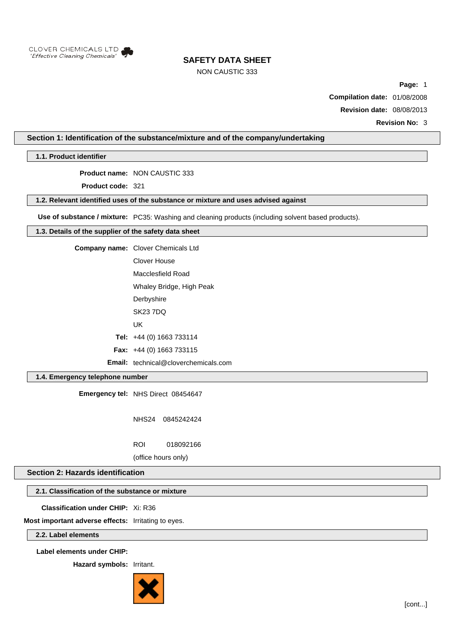

# NON CAUSTIC 333

**Page:** 1

**Compilation date:** 01/08/2008

**Revision date:** 08/08/2013

**Revision No:** 3

# **Section 1: Identification of the substance/mixture and of the company/undertaking**

**1.1. Product identifier**

**Product name:** NON CAUSTIC 333

**Product code:** 321

### **1.2. Relevant identified uses of the substance or mixture and uses advised against**

**Use of substance / mixture:** PC35: Washing and cleaning products (including solvent based products).

## **1.3. Details of the supplier of the safety data sheet**

**Company name:** Clover Chemicals Ltd

Clover House Macclesfield Road

Whaley Bridge, High Peak

**Derbyshire** 

SK23 7DQ

UK

**Tel:** +44 (0) 1663 733114

**Fax:** +44 (0) 1663 733115

**Email:** technical@cloverchemicals.com

# **1.4. Emergency telephone number**

**Emergency tel:** NHS Direct 08454647

NHS24 0845242424

ROI 018092166

(office hours only)

## **Section 2: Hazards identification**

## **2.1. Classification of the substance or mixture**

**Classification under CHIP:** Xi: R36

**Most important adverse effects:** Irritating to eyes.

**2.2. Label elements**

**Label elements under CHIP:**

**Hazard symbols:** Irritant.

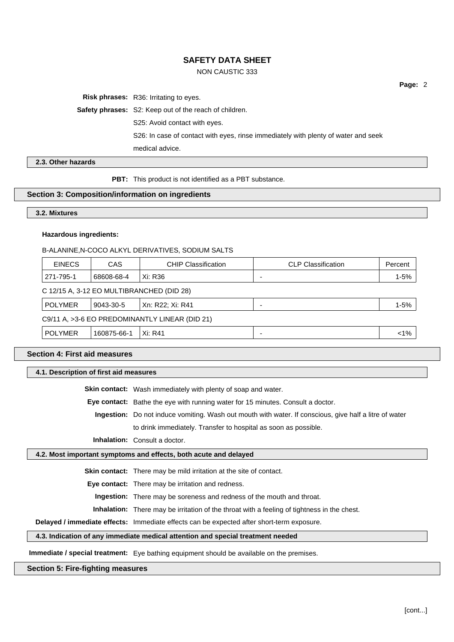# NON CAUSTIC 333

**Risk phrases:** R36: Irritating to eyes.

**Safety phrases:** S2: Keep out of the reach of children.

S25: Avoid contact with eyes.

S26: In case of contact with eyes, rinse immediately with plenty of water and seek

medical advice.

**2.3. Other hazards**

**PBT:** This product is not identified as a PBT substance.

# **Section 3: Composition/information on ingredients**

#### **3.2. Mixtures**

## **Hazardous ingredients:**

#### B-ALANINE,N-COCO ALKYL DERIVATIVES, SODIUM SALTS

| <b>EINECS</b>                                  | CAS         | <b>CHIP Classification</b> | <b>CLP Classification</b> | Percent  |
|------------------------------------------------|-------------|----------------------------|---------------------------|----------|
| 271-795-1                                      | 68608-68-4  | Xi: R36                    |                           | $1 - 5%$ |
| C 12/15 A, 3-12 EO MULTIBRANCHED (DID 28)      |             |                            |                           |          |
| <b>POLYMER</b>                                 | 9043-30-5   | Xn: R22: Xi: R41           |                           | $1 - 5%$ |
| C9/11 A, >3-6 EO PREDOMINANTLY LINEAR (DID 21) |             |                            |                           |          |
| <b>POLYMER</b>                                 | 160875-66-1 | Xi: R41                    |                           | $1\%$    |

# **Section 4: First aid measures**

**4.1. Description of first aid measures**

**Skin contact:** Wash immediately with plenty of soap and water.

**Eye contact:** Bathe the eye with running water for 15 minutes. Consult a doctor.

**Ingestion:** Do not induce vomiting. Wash out mouth with water. If conscious, give half a litre of water

to drink immediately. Transfer to hospital as soon as possible.

**Inhalation:** Consult a doctor.

### **4.2. Most important symptoms and effects, both acute and delayed**

**Skin contact:** There may be mild irritation at the site of contact.

**Eye contact:** There may be irritation and redness.

**Ingestion:** There may be soreness and redness of the mouth and throat.

**Inhalation:** There may be irritation of the throat with a feeling of tightness in the chest.

**Delayed / immediate effects:** Immediate effects can be expected after short-term exposure.

#### **4.3. Indication of any immediate medical attention and special treatment needed**

**Immediate / special treatment:** Eye bathing equipment should be available on the premises.

#### **Section 5: Fire-fighting measures**

**Page:** 2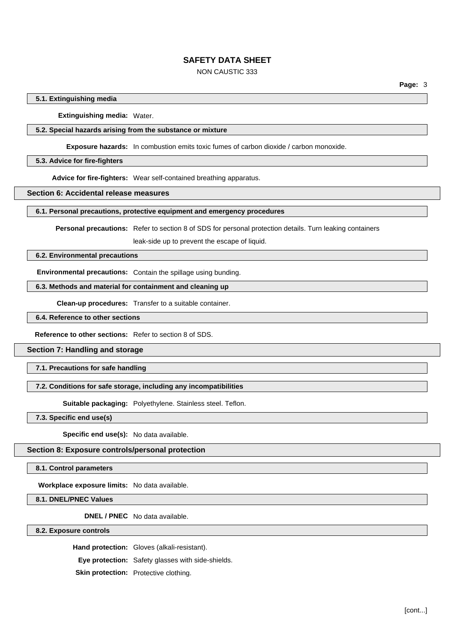# NON CAUSTIC 333

### **5.1. Extinguishing media**

**Extinguishing media:** Water.

#### **5.2. Special hazards arising from the substance or mixture**

**Exposure hazards:** In combustion emits toxic fumes of carbon dioxide / carbon monoxide.

#### **5.3. Advice for fire-fighters**

**Advice for fire-fighters:** Wear self-contained breathing apparatus.

#### **Section 6: Accidental release measures**

**6.1. Personal precautions, protective equipment and emergency procedures**

**Personal precautions:** Refer to section 8 of SDS for personal protection details. Turn leaking containers

leak-side up to prevent the escape of liquid.

#### **6.2. Environmental precautions**

**Environmental precautions:** Contain the spillage using bunding.

**6.3. Methods and material for containment and cleaning up**

**Clean-up procedures:** Transfer to a suitable container.

**6.4. Reference to other sections**

**Reference to other sections:** Refer to section 8 of SDS.

**Section 7: Handling and storage**

**7.1. Precautions for safe handling**

#### **7.2. Conditions for safe storage, including any incompatibilities**

**Suitable packaging:** Polyethylene. Stainless steel. Teflon.

**7.3. Specific end use(s)**

**Specific end use(s):** No data available.

### **Section 8: Exposure controls/personal protection**

**8.1. Control parameters**

**Workplace exposure limits:** No data available.

**8.1. DNEL/PNEC Values**

**DNEL / PNEC** No data available.

**8.2. Exposure controls**

**Hand protection:** Gloves (alkali-resistant).

**Eye protection:** Safety glasses with side-shields.

**Skin protection:** Protective clothing.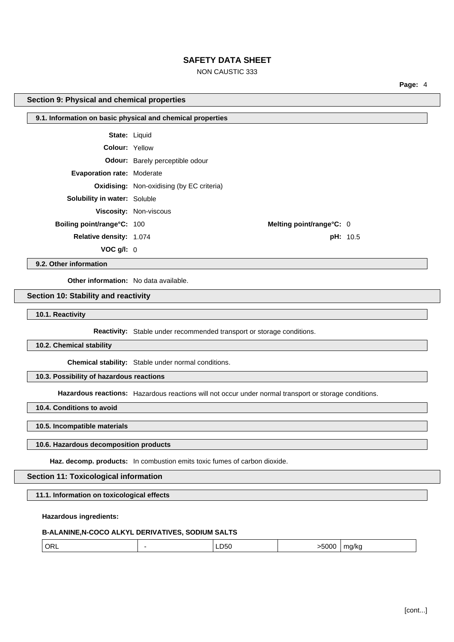# NON CAUSTIC 333

**Melting point/range°C:** 0

**pH:** 10.5

**Page:** 4

#### **Section 9: Physical and chemical properties**

| 9.1. Information on basic physical and chemical properties |                                                  |  |
|------------------------------------------------------------|--------------------------------------------------|--|
|                                                            |                                                  |  |
| <b>State: Liquid</b>                                       |                                                  |  |
| Colour: Yellow                                             |                                                  |  |
|                                                            | <b>Odour:</b> Barely perceptible odour           |  |
| <b>Evaporation rate: Moderate</b>                          |                                                  |  |
|                                                            | <b>Oxidising:</b> Non-oxidising (by EC criteria) |  |
| <b>Solubility in water: Soluble</b>                        |                                                  |  |
|                                                            | <b>Viscosity: Non-viscous</b>                    |  |
| Boiling point/range°C: 100                                 |                                                  |  |
| <b>Relative density: 1.074</b>                             |                                                  |  |
| VOC q/l: 0                                                 |                                                  |  |
|                                                            |                                                  |  |

**9.2. Other information**

**Other information:** No data available.

# **Section 10: Stability and reactivity**

**10.1. Reactivity**

**Reactivity:** Stable under recommended transport or storage conditions.

**10.2. Chemical stability**

**Chemical stability:** Stable under normal conditions.

#### **10.3. Possibility of hazardous reactions**

**Hazardous reactions:** Hazardous reactions will not occur under normal transport or storage conditions.

**10.4. Conditions to avoid**

**10.5. Incompatible materials**

#### **10.6. Hazardous decomposition products**

**Haz. decomp. products:** In combustion emits toxic fumes of carbon dioxide.

# **Section 11: Toxicological information**

**11.1. Information on toxicological effects**

## **Hazardous ingredients:**

#### **B-ALANINE,N-COCO ALKYL DERIVATIVES, SODIUM SALTS**

| OR.<br>$\sim$ | $ -$ |  |  |
|---------------|------|--|--|
|               |      |  |  |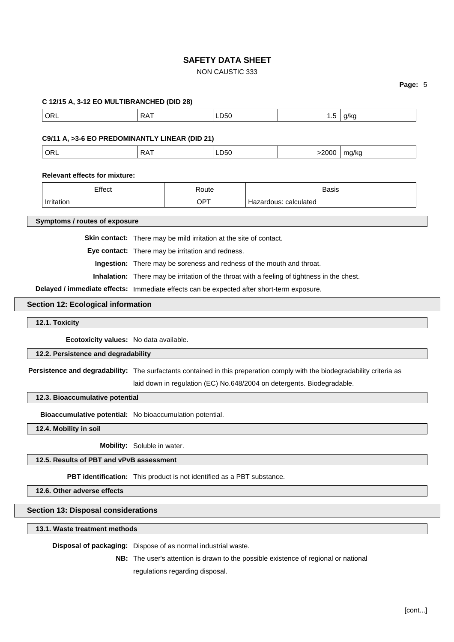# NON CAUSTIC 333

# **Page:** 5

| C 12/15 A, 3-12 EO MULTIBRANCHED (DID 28)                              |                                                                                                                           |                                                                       |                       |       |                                                                                             |       |
|------------------------------------------------------------------------|---------------------------------------------------------------------------------------------------------------------------|-----------------------------------------------------------------------|-----------------------|-------|---------------------------------------------------------------------------------------------|-------|
| ORL                                                                    | <b>RAT</b>                                                                                                                |                                                                       | LD50                  |       | 1.5                                                                                         | g/kg  |
| C9/11 A, >3-6 EO PREDOMINANTLY LINEAR (DID 21)                         |                                                                                                                           |                                                                       |                       |       |                                                                                             |       |
| <b>ORL</b>                                                             | <b>RAT</b>                                                                                                                |                                                                       | LD50                  |       | >2000                                                                                       | mg/kg |
| <b>Relevant effects for mixture:</b>                                   |                                                                                                                           |                                                                       |                       |       |                                                                                             |       |
| Effect                                                                 | Route                                                                                                                     |                                                                       |                       | Basis |                                                                                             |       |
| Irritation                                                             | <b>OPT</b>                                                                                                                |                                                                       | Hazardous: calculated |       |                                                                                             |       |
| Symptoms / routes of exposure                                          |                                                                                                                           |                                                                       |                       |       |                                                                                             |       |
|                                                                        |                                                                                                                           | Skin contact: There may be mild irritation at the site of contact.    |                       |       |                                                                                             |       |
|                                                                        |                                                                                                                           | Eye contact: There may be irritation and redness.                     |                       |       |                                                                                             |       |
|                                                                        |                                                                                                                           | Ingestion: There may be soreness and redness of the mouth and throat. |                       |       |                                                                                             |       |
|                                                                        |                                                                                                                           |                                                                       |                       |       | Inhalation: There may be irritation of the throat with a feeling of tightness in the chest. |       |
|                                                                        | Delayed / immediate effects: Immediate effects can be expected after short-term exposure.                                 |                                                                       |                       |       |                                                                                             |       |
| <b>Section 12: Ecological information</b>                              |                                                                                                                           |                                                                       |                       |       |                                                                                             |       |
| 12.1. Toxicity                                                         |                                                                                                                           |                                                                       |                       |       |                                                                                             |       |
| Ecotoxicity values: No data available.                                 |                                                                                                                           |                                                                       |                       |       |                                                                                             |       |
| 12.2. Persistence and degradability                                    |                                                                                                                           |                                                                       |                       |       |                                                                                             |       |
|                                                                        | Persistence and degradability: The surfactants contained in this preperation comply with the biodegradability criteria as |                                                                       |                       |       |                                                                                             |       |
|                                                                        |                                                                                                                           |                                                                       |                       |       | laid down in regulation (EC) No.648/2004 on detergents. Biodegradable.                      |       |
| 12.3. Bioaccumulative potential                                        |                                                                                                                           |                                                                       |                       |       |                                                                                             |       |
| Bioaccumulative potential: No bioaccumulation potential.               |                                                                                                                           |                                                                       |                       |       |                                                                                             |       |
| 12.4. Mobility in soil                                                 |                                                                                                                           |                                                                       |                       |       |                                                                                             |       |
|                                                                        | Mobility: Soluble in water.                                                                                               |                                                                       |                       |       |                                                                                             |       |
| 12.5. Results of PBT and vPvB assessment                               |                                                                                                                           |                                                                       |                       |       |                                                                                             |       |
| PBT identification: This product is not identified as a PBT substance. |                                                                                                                           |                                                                       |                       |       |                                                                                             |       |
| 12.6. Other adverse effects                                            |                                                                                                                           |                                                                       |                       |       |                                                                                             |       |
| <b>Section 13: Disposal considerations</b>                             |                                                                                                                           |                                                                       |                       |       |                                                                                             |       |
| 13.1. Waste treatment methods                                          |                                                                                                                           |                                                                       |                       |       |                                                                                             |       |
| Disposal of packaging: Dispose of as normal industrial waste.          |                                                                                                                           |                                                                       |                       |       |                                                                                             |       |
|                                                                        |                                                                                                                           |                                                                       |                       |       | <b>NB:</b> The user's attention is drawn to the possible existence of regional or national  |       |
|                                                                        |                                                                                                                           | regulations regarding disposal.                                       |                       |       |                                                                                             |       |